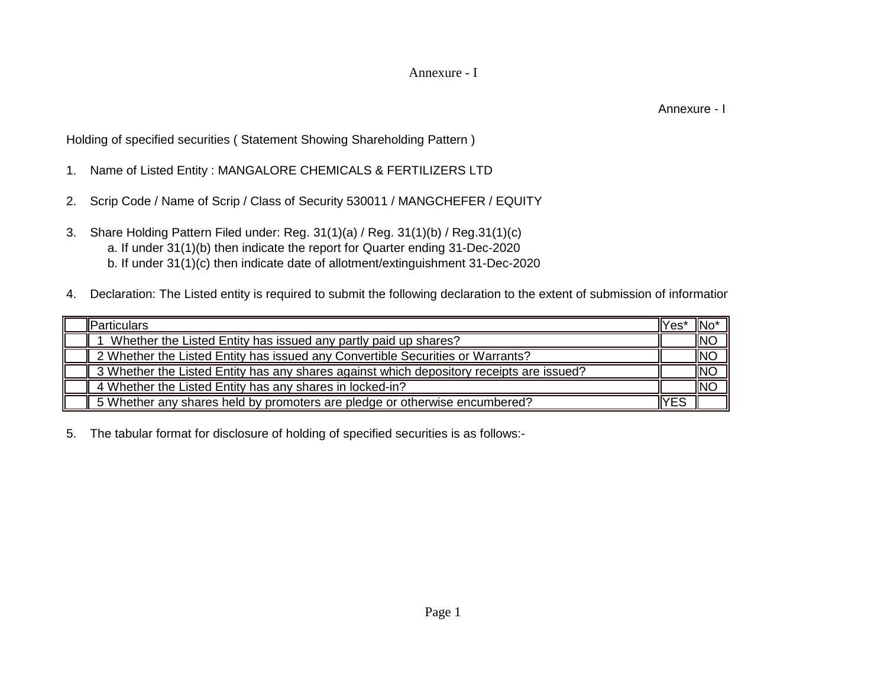## Annexure - I

Annexure - I

Holding of specified securities ( Statement Showing Shareholding Pattern )

- 1. Name of Listed Entity : MANGALORE CHEMICALS & FERTILIZERS LTD
- 2. Scrip Code / Name of Scrip / Class of Security 530011 / MANGCHEFER / EQUITY
- 3. Share Holding Pattern Filed under: Reg. 31(1)(a) / Reg. 31(1)(b) / Reg.31(1)(c) b. If under 31(1)(c) then indicate date of allotment/extinguishment 31-Dec-2020 a. If under 31(1)(b) then indicate the report for Quarter ending 31-Dec-2020
- 4. Declaration: The Listed entity is required to submit the following declaration to the extent of submission of informatior

| <b>I</b> IParticulars                                                                    | llYesi | -ilNei     |
|------------------------------------------------------------------------------------------|--------|------------|
| Whether the Listed Entity has issued any partly paid up shares?                          |        | <b>INO</b> |
| 2 Whether the Listed Entity has issued any Convertible Securities or Warrants?           |        | <b>INO</b> |
| 3 Whether the Listed Entity has any shares against which depository receipts are issued? |        | <b>INO</b> |
| 4 Whether the Listed Entity has any shares in locked-in?                                 |        | <b>INC</b> |
| 5 Whether any shares held by promoters are pledge or otherwise encumbered?               | IYES   |            |

5. The tabular format for disclosure of holding of specified securities is as follows:-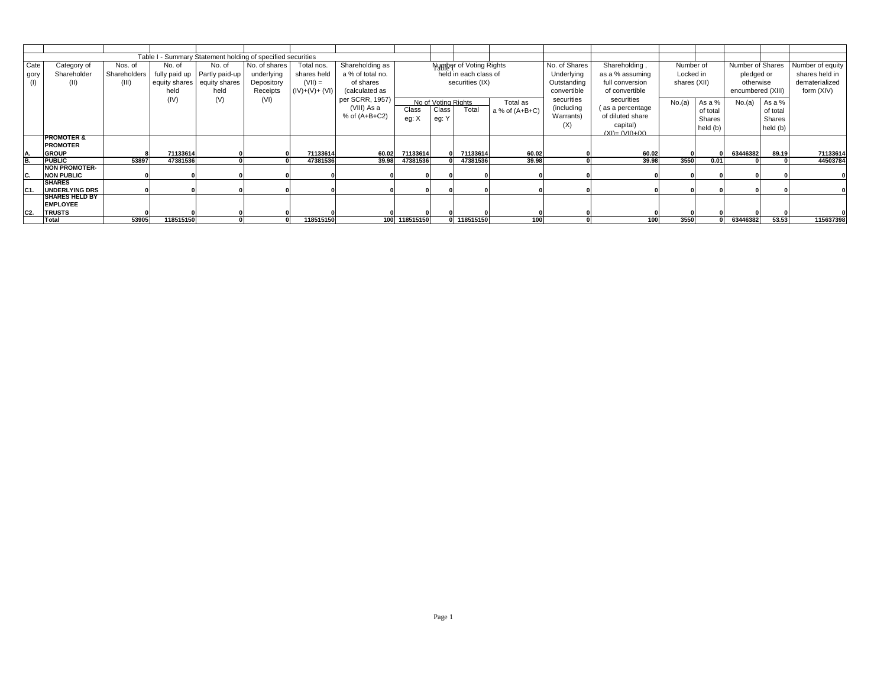|                |                       |              | Table I   | - Summary Statement holding of specified securities |               |                |                  |               |                              |                                |                  |               |                      |              |          |                         |                       |                  |
|----------------|-----------------------|--------------|-----------|-----------------------------------------------------|---------------|----------------|------------------|---------------|------------------------------|--------------------------------|------------------|---------------|----------------------|--------------|----------|-------------------------|-----------------------|------------------|
| Cate           | Category of           | Nos. of      | No. of    | No. of                                              | No. of shares | Total nos.     | Shareholding as  |               |                              | <b>Number of Voting Rights</b> |                  | No. of Shares | Shareholding,        | Number of    |          | <b>Number of Shares</b> |                       | Number of equity |
| gory           | Shareholder           | Shareholders |           | fully paid up   Partly paid-up                      | underlying    | shares held    | a % of total no. |               |                              | held in each class of          |                  | Underlying    | as a % assuming      | Locked in    |          | pledged or              |                       | shares held in   |
| (1)            | (II)                  | (III)        |           | equity shares   equity shares                       | Depository    | $(VII) =$      | of shares        |               |                              | securities (IX)                |                  | Outstanding   | full conversion      | shares (XII) |          | otherwise               |                       | dematerialized   |
|                |                       |              | held      | held                                                | Receipts      | $(IV)+(V)+(V)$ | (calculated as   |               |                              |                                |                  | convertible   | of convertible       |              |          | encumbered (XIII)       |                       | form (XIV)       |
|                |                       |              | (IV)      | (V)                                                 | (VI)          |                | per SCRR, 1957)  |               |                              |                                |                  | securities    | securities           |              |          |                         |                       |                  |
|                |                       |              |           |                                                     |               |                | (VIII) As a      | Class         | No of Voting Rights<br>Class | Total                          | Total as         | (including    | (as a percentage     | No.(a)       | As a %   |                         | No.(a) $\vert$ As a % |                  |
|                |                       |              |           |                                                     |               |                | % of $(A+B+C2)$  | eg: X         |                              |                                | a % of $(A+B+C)$ | Warrants)     | of diluted share     |              | of total |                         | of total              |                  |
|                |                       |              |           |                                                     |               |                |                  |               | eg: Y                        |                                |                  | (X)           | capital)             |              | Shares   |                         | <b>Shares</b>         |                  |
|                |                       |              |           |                                                     |               |                |                  |               |                              |                                |                  |               | $(XI) = (VII) + (X)$ |              | held (b) |                         | held (b)              |                  |
|                | <b>PROMOTER &amp;</b> |              |           |                                                     |               |                |                  |               |                              |                                |                  |               |                      |              |          |                         |                       |                  |
|                | <b>PROMOTER</b>       |              |           |                                                     |               |                |                  |               |                              |                                |                  |               |                      |              |          |                         |                       |                  |
|                | <b>GROUP</b>          |              | 71133614  |                                                     |               | 71133614       | 60.02            | 71133614      |                              | 71133614                       | 60.02            |               | 60.02                |              |          | 63446382                | 89.19                 | 71133614         |
| B.             | <b>PUBLIC</b>         | 53897        | 47381536  |                                                     |               | 47381536       | 39.98            | 47381536      |                              | 47381536                       | 39.98            |               | 39.98                | 3550         | 0.01     |                         |                       | 44503784         |
|                | <b>NON PROMOTER-</b>  |              |           |                                                     |               |                |                  |               |                              |                                |                  |               |                      |              |          |                         |                       |                  |
|                | <b>NON PUBLIC</b>     |              |           |                                                     |               |                |                  |               |                              |                                |                  |               |                      |              |          |                         |                       |                  |
|                | <b>SHARES</b>         |              |           |                                                     |               |                |                  |               |                              |                                |                  |               |                      |              |          |                         |                       |                  |
| C1.            | <b>UNDERLYING DRS</b> |              |           |                                                     |               |                |                  |               |                              |                                |                  |               |                      |              |          |                         |                       |                  |
|                | <b>SHARES HELD BY</b> |              |           |                                                     |               |                |                  |               |                              |                                |                  |               |                      |              |          |                         |                       |                  |
|                | <b>EMPLOYEE</b>       |              |           |                                                     |               |                |                  |               |                              |                                |                  |               |                      |              |          |                         |                       |                  |
| C <sub>2</sub> | <b>TRUSTS</b>         |              |           |                                                     |               |                |                  |               |                              |                                |                  |               |                      |              |          |                         |                       |                  |
|                | Total                 | 53905        | 118515150 |                                                     |               | 118515150      |                  | 100 118515150 |                              | 0 118515150                    | 100              |               | 100                  | 3550         |          | 63446382                | 53.53                 | 115637398        |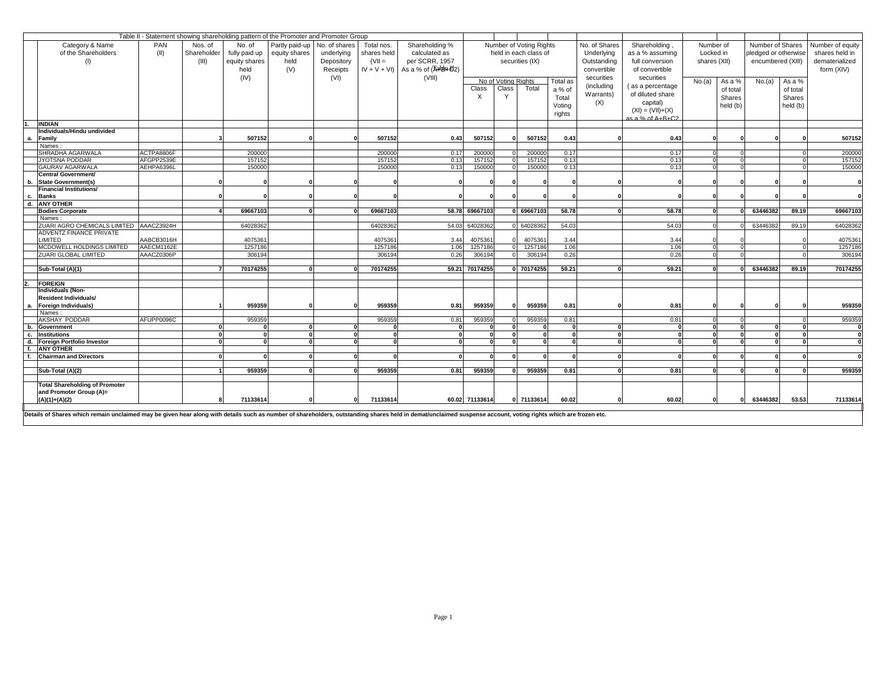|                                                                                                                                                                                                                |            |             | Table II - Statement showing shareholding pattern of the Promoter and Promoter Group |                                |            |             |                                        |                |                     |                         |          |               |                     |              |          |                      |          |                  |
|----------------------------------------------------------------------------------------------------------------------------------------------------------------------------------------------------------------|------------|-------------|--------------------------------------------------------------------------------------|--------------------------------|------------|-------------|----------------------------------------|----------------|---------------------|-------------------------|----------|---------------|---------------------|--------------|----------|----------------------|----------|------------------|
| Category & Name                                                                                                                                                                                                | <b>PAN</b> | Nos. of     | No. of                                                                               | Partly paid-up   No. of shares |            | Total nos.  | Shareholding %                         |                |                     | Number of Voting Rights |          | No. of Shares | Shareholding,       | Number of    |          | Number of Shares     |          | Number of equity |
| of the Shareholders                                                                                                                                                                                            | (II)       | Shareholder | fully paid up                                                                        | equity shares                  | underlying | shares held | calculated as                          |                |                     | held in each class of   |          | Underlying    | as a % assuming     | Locked in    |          | pledged or otherwise |          | shares held in   |
|                                                                                                                                                                                                                |            |             |                                                                                      |                                |            |             |                                        |                |                     |                         |          |               |                     |              |          |                      |          |                  |
| (1)                                                                                                                                                                                                            |            | (III)       | equity shares                                                                        | held                           | Depository | $(VII =$    | per SCRR, 1957                         |                | securities (IX)     |                         |          | Outstanding   | full conversion     | shares (XII) |          | encumbered (XIII)    |          | dematerialized   |
|                                                                                                                                                                                                                |            |             | held                                                                                 | (V)                            | Receipts   |             | $IV + V + VI$ ) As a % of $(RAB4B402)$ |                |                     |                         |          | convertible   | of convertible      |              |          |                      |          | form (XIV)       |
|                                                                                                                                                                                                                |            |             | (IV)                                                                                 |                                | (VI)       |             | (VIII)                                 |                | No of Voting Rights |                         | Total as | securities    | securities          | No.(a)       | As a %   | No.(a)               | As a %   |                  |
|                                                                                                                                                                                                                |            |             |                                                                                      |                                |            |             |                                        | Class          | Class               | Total                   | a % of   | (including    | (as a percentage    |              | of total |                      | of total |                  |
|                                                                                                                                                                                                                |            |             |                                                                                      |                                |            |             |                                        |                |                     |                         | Total    | Warrants)     | of diluted share    |              | Shares   |                      |          |                  |
|                                                                                                                                                                                                                |            |             |                                                                                      |                                |            |             |                                        |                |                     |                         |          | (X)           | capital)            |              |          |                      | Shares   |                  |
|                                                                                                                                                                                                                |            |             |                                                                                      |                                |            |             |                                        |                |                     |                         | Voting   |               | $(XI) = (VII)+(X)$  |              | held (b) |                      | held (b) |                  |
|                                                                                                                                                                                                                |            |             |                                                                                      |                                |            |             |                                        |                |                     |                         | rights   |               | $as a \% of A+B+C2$ |              |          |                      |          |                  |
| <b>INDIAN</b>                                                                                                                                                                                                  |            |             |                                                                                      |                                |            |             |                                        |                |                     |                         |          |               |                     |              |          |                      |          |                  |
| Individuals/Hindu undivided                                                                                                                                                                                    |            |             |                                                                                      |                                |            |             |                                        |                |                     |                         |          |               |                     |              |          |                      |          |                  |
| Family<br>а.                                                                                                                                                                                                   |            |             | 507152                                                                               |                                |            | 507152      | 0.43                                   | 507152         |                     | 507152                  | 0.43     |               | 0.43                |              |          |                      |          | 507152           |
| Names:                                                                                                                                                                                                         |            |             |                                                                                      |                                |            |             |                                        |                |                     |                         |          |               |                     |              |          |                      |          |                  |
| <b>SHRADHA AGARWALA</b>                                                                                                                                                                                        | ACTPA8806F |             | 200000                                                                               |                                |            | 200000      | 0.17                                   | 200000         |                     | 200000                  | 0.17     |               | 0.17                |              |          |                      |          | 200000           |
| JYOTSNA PODDAR                                                                                                                                                                                                 | AFGPP2539E |             | 157152                                                                               |                                |            | 157152      | 0.13                                   | 157152         |                     | 157152                  | 0.13     |               | 0.13                |              |          |                      |          | 157152           |
| <b>GAURAV AGARWALA</b>                                                                                                                                                                                         | AEHPA6396L |             | 150000                                                                               |                                |            | 150000      | 0.13                                   | 150000         |                     | 150000                  | 0.13     |               | 0.13                |              |          |                      |          | 150000           |
| <b>Central Government/</b>                                                                                                                                                                                     |            |             |                                                                                      |                                |            |             |                                        |                |                     |                         |          |               |                     |              |          |                      |          |                  |
| <b>State Government(s)</b><br>b.                                                                                                                                                                               |            |             |                                                                                      |                                |            |             |                                        |                |                     |                         |          |               |                     |              |          |                      |          |                  |
| <b>Financial Institutions/</b>                                                                                                                                                                                 |            |             |                                                                                      |                                |            |             |                                        |                |                     |                         |          |               |                     |              |          |                      |          |                  |
| <b>Banks</b><br>С.                                                                                                                                                                                             |            |             |                                                                                      |                                |            |             |                                        |                |                     |                         |          |               |                     |              |          |                      |          |                  |
| <b>ANY OTHER</b><br>d.                                                                                                                                                                                         |            |             |                                                                                      |                                |            |             |                                        |                |                     |                         |          |               |                     |              |          |                      |          |                  |
| <b>Bodies Corporate</b>                                                                                                                                                                                        |            |             | 69667103                                                                             |                                |            | 69667103    |                                        | 58.78 69667103 |                     | 0 69667103              | 58.78    |               | 58.78               |              |          | 63446382             | 89.19    | 69667103         |
| Names:                                                                                                                                                                                                         |            |             |                                                                                      |                                |            |             |                                        |                |                     |                         |          |               |                     |              |          |                      |          |                  |
| ZUARI AGRO CHEMICALS LIMITED AAACZ3924H                                                                                                                                                                        |            |             | 64028362                                                                             |                                |            | 64028362    |                                        | 54.03 64028362 |                     | 0 64028362              | 54.03    |               | 54.03               |              |          | 63446382             | 89.19    | 64028362         |
| <b>ADVENTZ FINANCE PRIVATE</b>                                                                                                                                                                                 |            |             |                                                                                      |                                |            |             |                                        |                |                     |                         |          |               |                     |              |          |                      |          |                  |
| <b>LIMITED</b>                                                                                                                                                                                                 | AABCB3016H |             | 4075361                                                                              |                                |            | 4075361     | 3.44                                   | 4075361        |                     | 4075361                 | 3.44     |               | 3.44                |              |          |                      |          | 4075361          |
| <b>MCDOWELL HOLDINGS LIMITED</b>                                                                                                                                                                               | AAECM1162E |             | 1257186                                                                              |                                |            | 1257186     | 1.06                                   | 1257186        |                     | 1257186                 | 1.06     |               | 1.06                |              |          |                      |          | 1257186          |
| <b>ZUARI GLOBAL LIMITED</b>                                                                                                                                                                                    | AAACZ0306P |             | 306194                                                                               |                                |            | 306194      | 0.26                                   | 306194         |                     | 306194                  | 0.26     |               | 0.26                |              |          |                      |          | 306194           |
|                                                                                                                                                                                                                |            |             |                                                                                      |                                |            |             |                                        |                |                     |                         |          |               |                     |              |          |                      |          |                  |
| Sub-Total (A)(1)                                                                                                                                                                                               |            |             | 70174255                                                                             |                                |            | 70174255    |                                        | 59.21 70174255 |                     | 0 70174255              | 59.21    |               | 59.21               |              |          | 63446382             | 89.19    | 70174255         |
|                                                                                                                                                                                                                |            |             |                                                                                      |                                |            |             |                                        |                |                     |                         |          |               |                     |              |          |                      |          |                  |
| <b>FOREIGN</b>                                                                                                                                                                                                 |            |             |                                                                                      |                                |            |             |                                        |                |                     |                         |          |               |                     |              |          |                      |          |                  |
| <b>Individuals (Non-</b>                                                                                                                                                                                       |            |             |                                                                                      |                                |            |             |                                        |                |                     |                         |          |               |                     |              |          |                      |          |                  |
| <b>Resident Individuals/</b>                                                                                                                                                                                   |            |             |                                                                                      |                                |            |             |                                        |                |                     |                         |          |               |                     |              |          |                      |          |                  |
| Foreign Individuals)<br>а.                                                                                                                                                                                     |            |             | 959359                                                                               |                                |            | 959359      | 0.81                                   | 959359         |                     | 959359                  | 0.81     |               | 0.81                |              |          |                      |          | 959359           |
| Names:                                                                                                                                                                                                         |            |             |                                                                                      |                                |            |             |                                        |                |                     |                         |          |               |                     |              |          |                      |          |                  |
| <b>AKSHAY PODDAR</b>                                                                                                                                                                                           | AFUPP0096C |             | 959359                                                                               |                                |            | 959359      | 0.81                                   | 959359         |                     | 959359                  | 0.81     |               | 0.81                |              |          |                      |          | 959359           |
| b. Government                                                                                                                                                                                                  |            |             |                                                                                      |                                |            |             |                                        |                |                     |                         |          |               |                     |              |          |                      |          |                  |
| Institutions<br>C.                                                                                                                                                                                             |            |             |                                                                                      |                                |            |             |                                        |                |                     |                         |          |               |                     |              |          |                      |          |                  |
| d.<br><b>Foreign Portfolio Investor</b>                                                                                                                                                                        |            |             |                                                                                      |                                |            |             |                                        |                |                     |                         |          |               |                     |              |          |                      |          | $\mathbf{0}$     |
| <b>ANY OTHER</b><br>f.                                                                                                                                                                                         |            |             |                                                                                      |                                |            |             |                                        |                |                     |                         |          |               |                     |              |          |                      |          |                  |
| <b>Chairman and Directors</b>                                                                                                                                                                                  |            |             |                                                                                      |                                |            |             |                                        |                |                     |                         |          |               |                     |              |          |                      |          |                  |
|                                                                                                                                                                                                                |            |             |                                                                                      |                                |            |             |                                        |                |                     |                         |          |               |                     |              |          |                      |          |                  |
| Sub-Total (A)(2)                                                                                                                                                                                               |            |             | 959359                                                                               |                                |            | 959359      | 0.81                                   | 959359         |                     | 959359                  | 0.81     |               | 0.81                |              |          | U                    |          | 959359           |
|                                                                                                                                                                                                                |            |             |                                                                                      |                                |            |             |                                        |                |                     |                         |          |               |                     |              |          |                      |          |                  |
| <b>Total Shareholding of Promoter</b>                                                                                                                                                                          |            |             |                                                                                      |                                |            |             |                                        |                |                     |                         |          |               |                     |              |          |                      |          |                  |
| and Promoter Group (A)=                                                                                                                                                                                        |            |             |                                                                                      |                                |            |             |                                        |                |                     |                         |          |               |                     |              |          |                      |          |                  |
| $(A)(1)+(A)(2)$                                                                                                                                                                                                |            |             | 71133614                                                                             |                                |            | 71133614    |                                        | 60.02 71133614 |                     | 0 71133614              | 60.02    |               | 60.02               |              |          | 63446382             | 53.53    | 71133614         |
|                                                                                                                                                                                                                |            |             |                                                                                      |                                |            |             |                                        |                |                     |                         |          |               |                     |              |          |                      |          |                  |
| Details of Shares which remain unclaimed may be given hear along with details such as number of shareholders, outstanding shares held in demat/unclaimed suspense account, voting rights which are frozen etc. |            |             |                                                                                      |                                |            |             |                                        |                |                     |                         |          |               |                     |              |          |                      |          |                  |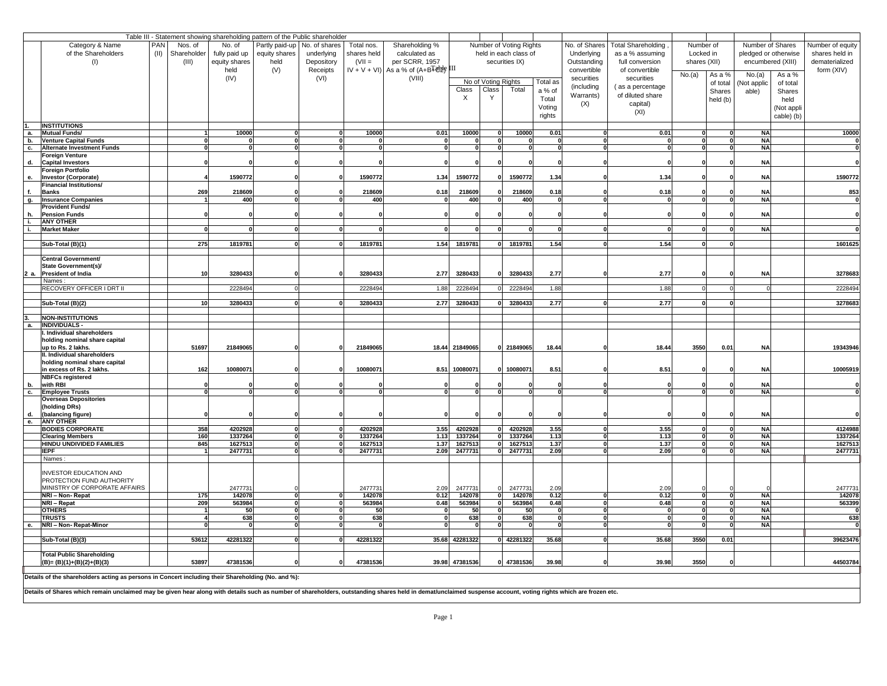|           |                                                                                                    |     |                  |                 | Table III - Statement showing shareholding pattern of the Public shareholder |                                |             |                                           |                |                     |                         |          |               |                     |              |               |                         |                         |
|-----------|----------------------------------------------------------------------------------------------------|-----|------------------|-----------------|------------------------------------------------------------------------------|--------------------------------|-------------|-------------------------------------------|----------------|---------------------|-------------------------|----------|---------------|---------------------|--------------|---------------|-------------------------|-------------------------|
|           | Category & Name                                                                                    | PAN | Nos. of          | No. of          |                                                                              | Partly paid-up   No. of shares | Total nos.  | Shareholding %                            |                |                     | Number of Voting Rights |          | No. of Shares | Total Shareholding, | Number of    |               | Number of Shares        | Number of equity        |
|           | of the Shareholders                                                                                |     | (II) Shareholder | fully paid up   | equity shares                                                                | underlying                     | shares held | calculated as                             |                |                     | held in each class of   |          | Underlying    | as a % assuming     | Locked in    |               | pledged or otherwise    | shares held in          |
|           | (I)                                                                                                |     | (III)            | equity shares   | held                                                                         | Depository                     | $(VII =$    | per SCRR, 1957                            |                |                     | securities IX)          |          | Outstanding   | full conversion     | shares (XII) |               | encumbered (XIII)       | dematerialized          |
|           |                                                                                                    |     |                  | held            | (V)                                                                          | Receipts                       |             | $IV + V + VI$ ) As a % of $(A+BTd2F)$ III |                |                     |                         |          | convertible   | of convertible      | No.(a)       | As a %        | No.(a)<br>As a %        | form (XIV)              |
|           |                                                                                                    |     |                  | (IV)            |                                                                              | (VI)                           |             | (VIII)                                    |                | No of Voting Rights |                         | Total as | securities    | securities          |              | of total      | (Not applic<br>of total |                         |
|           |                                                                                                    |     |                  |                 |                                                                              |                                |             |                                           | Class          | <b>Class</b>        | Total                   | a % of   | (including    | (as a percentage    |              | <b>Shares</b> | able)<br><b>Shares</b>  |                         |
|           |                                                                                                    |     |                  |                 |                                                                              |                                |             |                                           | X              |                     |                         | Total    | Warrants)     | of diluted share    |              | held (b)      | held                    |                         |
|           |                                                                                                    |     |                  |                 |                                                                              |                                |             |                                           |                |                     |                         | Voting   | (X)           | capital)            |              |               | (Not appli              |                         |
|           |                                                                                                    |     |                  |                 |                                                                              |                                |             |                                           |                |                     |                         | rights   |               | (XI)                |              |               | cable) (b)              |                         |
|           | <b>INSTITUTIONS</b>                                                                                |     |                  |                 |                                                                              |                                |             |                                           |                |                     |                         |          |               |                     |              |               |                         |                         |
| а.        | <b>Mutual Funds/</b>                                                                               |     |                  | 10000           |                                                                              |                                | 10000       | 0.01                                      | 10000          |                     | 10000                   | 0.01     |               | 0.01                |              |               | <b>NA</b>               | 10000                   |
| b.        | <b>Venture Capital Funds</b>                                                                       |     |                  |                 |                                                                              |                                |             |                                           |                |                     |                         |          |               |                     |              |               | <b>NA</b>               |                         |
| c.        | <b>Alternate Investment Funds</b>                                                                  |     |                  |                 |                                                                              |                                |             |                                           |                |                     |                         |          |               |                     |              |               | NA                      |                         |
|           | <b>Foreign Venture</b>                                                                             |     |                  |                 |                                                                              |                                |             |                                           |                |                     |                         |          |               |                     |              |               |                         |                         |
| d.        | <b>Capital Investors</b>                                                                           |     |                  |                 |                                                                              |                                |             |                                           |                |                     |                         |          |               |                     |              |               | <b>NA</b>               |                         |
|           | <b>Foreign Portfolio</b><br>Investor (Corporate)                                                   |     |                  | 1590772         |                                                                              |                                | 1590772     | 1.34                                      | 1590772        |                     | 1590772                 | 1.34     |               | 1.34                |              |               | <b>NA</b>               | 1590772                 |
| е.        | <b>Financial Institutions/</b>                                                                     |     |                  |                 |                                                                              |                                |             |                                           |                |                     |                         |          |               |                     |              |               |                         |                         |
| f.        | <b>Banks</b>                                                                                       |     | 269              | 218609          |                                                                              |                                | 218609      | 0.18                                      | 218609         |                     | 218609                  | 0.18     |               | 0.18                |              |               | <b>NA</b>               | 853                     |
| g.        | <b>Insurance Companies</b>                                                                         |     |                  | 400             | $\mathbf{r}$                                                                 |                                | 400         |                                           | 400            |                     | 400                     |          |               |                     |              |               | $N_A$                   | $\overline{\mathbf{0}}$ |
|           | <b>Provident Funds/</b>                                                                            |     |                  |                 |                                                                              |                                |             |                                           |                |                     |                         |          |               |                     |              |               |                         |                         |
| h.        | <b>Pension Funds</b>                                                                               |     |                  |                 |                                                                              |                                |             |                                           |                |                     |                         |          |               |                     |              |               | <b>NA</b>               |                         |
|           | <b>ANY OTHER</b><br><b>Market Maker</b>                                                            |     |                  |                 |                                                                              |                                |             |                                           |                |                     |                         |          |               |                     |              |               | <b>NA</b>               |                         |
|           |                                                                                                    |     |                  |                 |                                                                              |                                |             |                                           |                |                     |                         |          |               |                     |              |               |                         |                         |
|           | Sub-Total (B)(1)                                                                                   |     | 275              | 1819781         |                                                                              |                                | 1819781     | 1.54                                      | 1819781        |                     | 1819781<br>0L           | 1.54     |               | 1.54                |              |               |                         | 1601625                 |
|           |                                                                                                    |     |                  |                 |                                                                              |                                |             |                                           |                |                     |                         |          |               |                     |              |               |                         |                         |
|           | <b>Central Government/</b>                                                                         |     |                  |                 |                                                                              |                                |             |                                           |                |                     |                         |          |               |                     |              |               |                         |                         |
|           | <b>State Government(s)/</b>                                                                        |     |                  |                 |                                                                              |                                |             |                                           |                |                     |                         |          |               |                     |              |               |                         |                         |
|           | 2 a. President of India<br>Names:                                                                  |     | 10               | 3280433         |                                                                              |                                | 3280433     | 2.77                                      | 3280433        |                     | 3280433                 | 2.77     |               | 2.77                |              |               | <b>NA</b>               | 3278683                 |
|           | <b>RECOVERY OFFICER I DRT II</b>                                                                   |     |                  | 2228494         |                                                                              |                                | 2228494     | 1.88                                      | 2228494        |                     | 2228494                 | 1.88     |               | 1.88                |              |               |                         | 2228494                 |
|           |                                                                                                    |     |                  |                 |                                                                              |                                |             |                                           |                |                     |                         |          |               |                     |              |               |                         |                         |
|           | Sub-Total (B)(2)                                                                                   |     | 10 <sup>1</sup>  | 3280433         |                                                                              |                                | 3280433     | 2.77                                      | 3280433        |                     | 3280433                 | 2.77     |               | 2.77                |              |               |                         | 3278683                 |
|           |                                                                                                    |     |                  |                 |                                                                              |                                |             |                                           |                |                     |                         |          |               |                     |              |               |                         |                         |
|           | <b>NON-INSTITUTIONS</b>                                                                            |     |                  |                 |                                                                              |                                |             |                                           |                |                     |                         |          |               |                     |              |               |                         |                         |
| а.        | <b>INDIVIDUALS -</b><br>I. Individual shareholders                                                 |     |                  |                 |                                                                              |                                |             |                                           |                |                     |                         |          |               |                     |              |               |                         |                         |
|           | holding nominal share capital                                                                      |     |                  |                 |                                                                              |                                |             |                                           |                |                     |                         |          |               |                     |              |               |                         |                         |
|           | up to Rs. 2 lakhs.                                                                                 |     | 51697            | 21849065        |                                                                              |                                | 21849065    |                                           | 18.44 21849065 |                     | 0 21849065              | 18.44    |               | 18.44               | 3550         | 0.01          | <b>NA</b>               | 19343946                |
|           | II. Individual shareholders                                                                        |     |                  |                 |                                                                              |                                |             |                                           |                |                     |                         |          |               |                     |              |               |                         |                         |
|           | holding nominal share capital                                                                      |     |                  |                 |                                                                              |                                |             |                                           |                |                     |                         |          |               |                     |              |               |                         |                         |
|           | in excess of Rs. 2 lakhs.                                                                          |     | 162              | 10080071        |                                                                              |                                | 10080071    | 8.51                                      | 10080071       |                     | 10080071                | 8.51     |               | 8.51                |              |               | <b>NA</b>               | 10005919                |
| b.        | <b>NBFCs registered</b><br>with RBI                                                                |     |                  |                 |                                                                              |                                |             |                                           |                |                     |                         |          |               |                     |              |               | <b>NA</b>               |                         |
| <b>C.</b> | <b>Employee Trusts</b>                                                                             |     |                  |                 |                                                                              |                                |             |                                           |                |                     |                         |          |               |                     |              |               | $N_A$                   |                         |
|           | <b>Overseas Depositories</b>                                                                       |     |                  |                 |                                                                              |                                |             |                                           |                |                     |                         |          |               |                     |              |               |                         |                         |
|           | (holding DRs)                                                                                      |     |                  |                 |                                                                              |                                |             |                                           |                |                     |                         |          |               |                     |              |               |                         |                         |
| d.        | (balancing figure)                                                                                 |     |                  |                 |                                                                              |                                |             |                                           |                |                     |                         |          |               |                     |              |               | <b>NA</b>               |                         |
| е.        | <b>ANY OTHER</b><br><b>BODIES CORPORATE</b>                                                        |     | 358              | 4202928         | $\Omega$                                                                     |                                | 4202928     | 3.55                                      | 4202928        | 0l                  | 4202928                 | 3.55     |               | 3.55                |              |               | <b>NA</b>               | 4124988                 |
|           | <b>Clearing Members</b>                                                                            |     | 160              | 1337264         |                                                                              |                                | 1337264     | 1.13                                      | 1337264        | ΩI                  | 1337264                 | 1.13     |               | 1.13                |              |               | $N_A$                   | 1337264                 |
|           | <b>HINDU UNDIVIDED FAMILIES</b>                                                                    |     | 845              | 1627513         |                                                                              |                                | 1627513     | 1.37                                      | 1627513        | - N                 | 1627513                 | 1.37     |               | 1.37                |              |               | NA                      | 1627513                 |
|           | <b>IEPF</b>                                                                                        |     |                  | 2477731         | $\sqrt{ }$                                                                   |                                | 2477731     | 2.09                                      | 2477731        |                     | 2477731                 | 2.09     |               | 2.09                |              |               | NA                      | 2477731                 |
|           | Names:                                                                                             |     |                  |                 |                                                                              |                                |             |                                           |                |                     |                         |          |               |                     |              |               |                         |                         |
|           |                                                                                                    |     |                  |                 |                                                                              |                                |             |                                           |                |                     |                         |          |               |                     |              |               |                         |                         |
|           | <b>INVESTOR EDUCATION AND</b><br>PROTECTION FUND AUTHORITY                                         |     |                  |                 |                                                                              |                                |             |                                           |                |                     |                         |          |               |                     |              |               |                         |                         |
|           | MINISTRY OF CORPORATE AFFAIRS                                                                      |     |                  | 2477731         |                                                                              |                                | 2477731     | 2.09                                      | 2477731        |                     | 2477731                 | 2.09     |               | 2.09                |              |               |                         | 2477731                 |
|           | NRI-Non-Repat                                                                                      |     | $\boxed{175}$    | 142078          | $\Omega$                                                                     |                                | 142078      | 0.12                                      | 142078         |                     | 142078                  | 0.12     |               | 0.12                |              |               | NA                      | 142078                  |
|           | NRI-Repat                                                                                          |     | 209              | 563984          | $\Omega$                                                                     |                                | 563984      | 0.48                                      | 563984         |                     | 563984                  | 0.48     |               | 0.48                |              |               | <b>NA</b>               | 563399                  |
|           | <b>OTHERS</b>                                                                                      |     |                  | 50 <sub>l</sub> |                                                                              |                                | 50          |                                           | 50             |                     | 50                      |          |               |                     |              |               | <b>NA</b>               |                         |
|           | <b>TRUSTS</b>                                                                                      |     |                  | 638             |                                                                              |                                | 638         |                                           | 638            |                     | 638                     |          |               |                     |              |               | <b>NA</b>               | 638                     |
| е.        | NRI - Non- Repat-Minor                                                                             |     |                  |                 |                                                                              |                                |             |                                           |                |                     |                         |          |               |                     |              |               | NA                      |                         |
|           | Sub-Total (B)(3)                                                                                   |     | 53612            | 42281322        |                                                                              |                                | 42281322    |                                           | 35.68 42281322 |                     | 0 42281322              | 35.68    |               | 35.68               | 3550         | 0.01          |                         | 39623476                |
|           |                                                                                                    |     |                  |                 |                                                                              |                                |             |                                           |                |                     |                         |          |               |                     |              |               |                         |                         |
|           | <b>Total Public Shareholding</b>                                                                   |     |                  |                 |                                                                              |                                |             |                                           |                |                     |                         |          |               |                     |              |               |                         |                         |
|           | $(B)=(B)(1)+(B)(2)+(B)(3)$                                                                         |     | 53897            | 47381536        |                                                                              |                                | 47381536    |                                           | 39.98 47381536 |                     | 0 47381536              | 39.98    |               | 39.98               | 3550         |               |                         | 44503784                |
|           | Details of the shareholders acting as persons in Concert including their Shareholding (No. and %): |     |                  |                 |                                                                              |                                |             |                                           |                |                     |                         |          |               |                     |              |               |                         |                         |
|           |                                                                                                    |     |                  |                 |                                                                              |                                |             |                                           |                |                     |                         |          |               |                     |              |               |                         |                         |

Details of Shares which remain unclaimed may be given hear along with details such as number of shareholders, outstanding shares held in demat/unclaimed suspense account, voting rights which are frozen etc.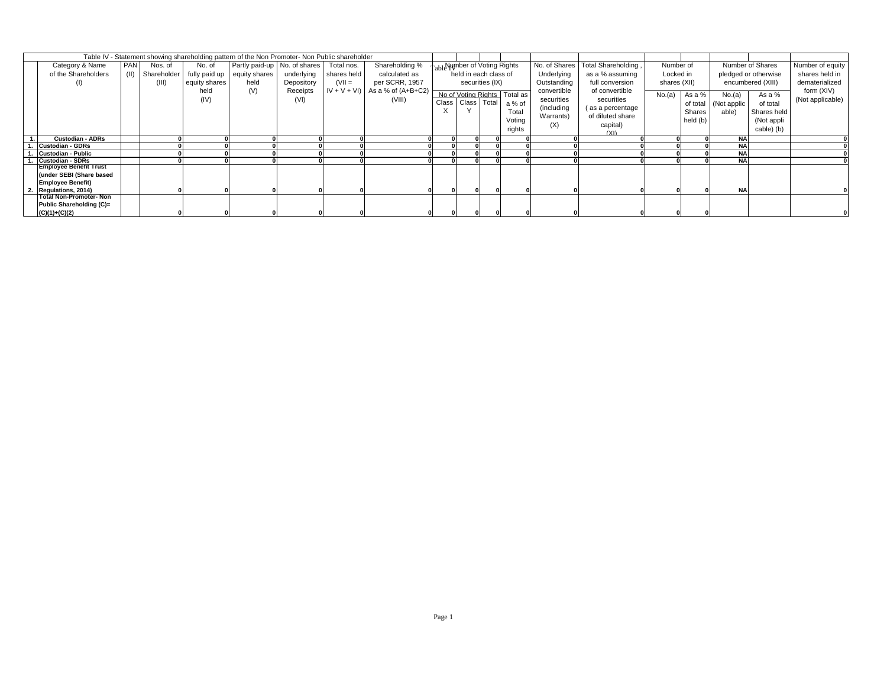| Table IV - Statement showing shareholding pattern of the Non Promoter- Non Public shareholder |     |             |               |                                             |            |             |                                    |                       |                 |                               |               |                     |              |          |             |                      |                  |
|-----------------------------------------------------------------------------------------------|-----|-------------|---------------|---------------------------------------------|------------|-------------|------------------------------------|-----------------------|-----------------|-------------------------------|---------------|---------------------|--------------|----------|-------------|----------------------|------------------|
| Category & Name                                                                               | PAN | Nos. of     | No. of        | Partly paid-up   No. of shares   Total nos. |            |             | Shareholding %                     |                       |                 | Table Number of Voting Rights | No. of Shares | Total Shareholding, | Number of    |          |             | Number of Shares     | Number of equity |
| of the Shareholders                                                                           |     | Shareholder |               | fully paid up   equity shares               | underlying | shares held | calculated as                      |                       |                 | held in each class of         | Underlying    | as a % assuming     | Locked in    |          |             | pledged or otherwise | shares held in   |
| $\left( \left  \right  \right)$                                                               |     | (III)       | equity shares | held                                        | Depository | $(VII =$    | per SCRR, 1957                     |                       | securities (IX) |                               | Outstanding   | full conversion     | shares (XII) |          |             | encumbered (XIII)    | dematerialized   |
|                                                                                               |     |             | held          | (V)                                         | Receipts   |             | $IV + V + VI$ ) As a % of (A+B+C2) |                       |                 | No of Voting Rights Total as  | convertible   | of convertible      | No.(a)       | As a %   | No.(a)      | As a %               | form (XIV)       |
|                                                                                               |     |             | (IV)          |                                             | (VI)       |             | (VIII)                             | Class   Class   Total |                 | a % of                        | securities    | securities          |              | of total | (Not applic | of total             | (Not applicable) |
|                                                                                               |     |             |               |                                             |            |             |                                    |                       |                 | Total                         | (including)   | (as a percentage    |              | Shares   | able)       | Shares held          |                  |
|                                                                                               |     |             |               |                                             |            |             |                                    |                       |                 | Voting                        | Warrants)     | of diluted share    |              | held (b) |             | (Not appli           |                  |
|                                                                                               |     |             |               |                                             |            |             |                                    |                       |                 | rights                        | (X)           | capital)            |              |          |             | cable) (b)           |                  |
| <b>Custodian - ADRs</b>                                                                       |     |             |               |                                             |            |             |                                    |                       |                 |                               |               | (XI)                |              |          | <b>NA</b>   |                      |                  |
| <b>Custodian - GDRs</b>                                                                       |     |             |               |                                             |            |             |                                    |                       |                 |                               |               |                     |              |          | <b>NA</b>   |                      |                  |
| <b>Custodian - Public</b>                                                                     |     |             |               |                                             |            |             |                                    |                       |                 |                               |               |                     |              |          | <b>NA</b>   |                      |                  |
| <b>Custodian - SDRs</b>                                                                       |     |             |               |                                             |            |             |                                    |                       |                 |                               |               |                     |              |          | <b>NA</b>   |                      |                  |
| <b>Employee Benefit Trust</b>                                                                 |     |             |               |                                             |            |             |                                    |                       |                 |                               |               |                     |              |          |             |                      |                  |
| (under SEBI (Share based                                                                      |     |             |               |                                             |            |             |                                    |                       |                 |                               |               |                     |              |          |             |                      |                  |
| <b>Employee Benefit)</b>                                                                      |     |             |               |                                             |            |             |                                    |                       |                 |                               |               |                     |              |          |             |                      |                  |
| <b>Regulations, 2014)</b>                                                                     |     |             |               |                                             |            |             |                                    |                       | $\Omega$        |                               |               |                     |              |          | <b>NA</b>   |                      |                  |
| <b>Total Non-Promoter- Non</b>                                                                |     |             |               |                                             |            |             |                                    |                       |                 |                               |               |                     |              |          |             |                      |                  |
| <b>Public Shareholding (C)=</b>                                                               |     |             |               |                                             |            |             |                                    |                       |                 |                               |               |                     |              |          |             |                      |                  |
| $(C)(1)+(C)(2)$                                                                               |     |             |               |                                             |            |             |                                    |                       |                 |                               |               |                     |              |          |             |                      |                  |